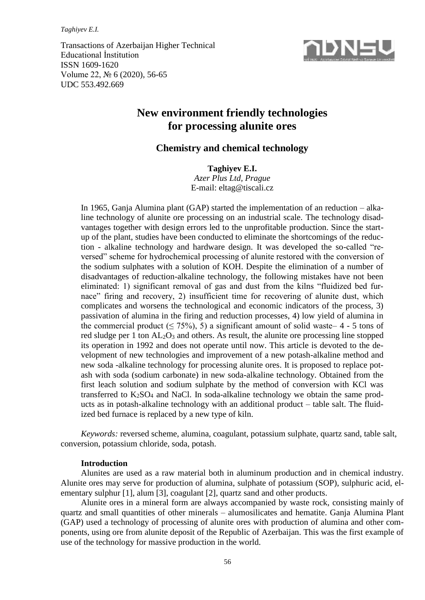*Taghiyev E.I.*

Transactions of Azerbaijan Higher Technical Educational İnstitution ISSN 1609-1620 Volume 22, № 6 (2020), 56-65 UDC 553.492.669



# **New environment friendly technologies for processing alunite ores**

# **Chemistry and chemical technology**

**Taghiyev E.I.** *Azer Plus Ltd, Prague* E-mail: [eltag@tiscali.cz](mailto:eltag@tiscali.cz)

In 1965, Ganja Alumina plant (GAP) started the implementation of an reduction – alkaline technology of alunite ore processing on an industrial scale. The technology disadvantages together with design errors led to the unprofitable production. Since the startup of the plant, studies have been conducted to eliminate the shortcomings of the reduction - alkaline technology and hardware design. It was developed the so-called "reversed" scheme for hydrochemical processing of alunite restored with the conversion of the sodium sulphates with a solution of KOH. Despite the elimination of a number of disadvantages of reduction-alkaline technology, the following mistakes have not been eliminated: 1) significant removal of gas and dust from the kilns "fluidized bed furnace" firing and recovery, 2) insufficient time for recovering of alunite dust, which complicates and worsens the technological and economic indicators of the process, 3) passivation of alumina in the firing and reduction processes, 4) low yield of alumina in the commercial product ( $\leq$  75%), 5) a significant amount of solid waste– 4 - 5 tons of red sludge per 1 ton  $AL_2O_3$  and others. As result, the alunite ore processing line stopped its operation in 1992 and does not operate until now. This article is devoted to the development of new technologies and improvement of a new potash-alkaline method and new soda -alkaline technology for processing alunite ores. It is proposed to replace potash with soda (sodium carbonate) in new soda-alkaline technology. Obtained from the first leach solution and sodium sulphate by the method of conversion with KCl was transferred to  $K_2SO_4$  and NaCl. In soda-alkaline technology we obtain the same products as in potash-alkaline technology with an additional product – table salt. The fluidized bed furnace is replaced by a new type of kiln.

*Keywords:* reversed scheme, alumina, coagulant, potassium sulphate, quartz sand, table salt, conversion, potassium chloride, soda, potash.

### **Introduction**

Alunites are used as a raw material both in aluminum production and in chemical industry. Alunite ores may serve for production of alumina, sulphate of potassium (SOP), sulphuric acid, elementary sulphur [1], alum [3], coagulant [2], quartz sand and other products.

Alunite ores in a mineral form are always accompanied by waste rock, consisting mainly of quartz and small quantities of other minerals – alumosilicates and hematite. Ganja Alumina Plant (GAP) used a technology of processing of alunite ores with production of alumina and other components, using ore from alunite deposit of the Republic of Azerbaijan. This was the first example of use of the technology for massive production in the world.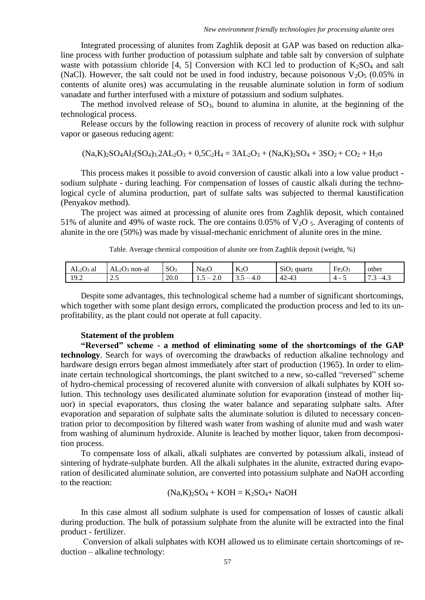Integrated processing of alunites from Zaghlik deposit at GAP was based on reduction alkaline process with further production of potassium sulphate and table salt by conversion of sulphate waste with potassium chloride [4, 5] Conversion with KCl led to production of  $K_2SO_4$  and salt (NaCl). However, the salt could not be used in food industry, because poisonous  $V_2O_5$  (0.05% in contents of alunite ores) was accumulating in the reusable aluminate solution in form of sodium vanadate and further interfused with a mixture of potassium and sodium sulphates.

The method involved release of  $SO<sub>3</sub>$ , bound to alumina in alunite, at the beginning of the technological process.

Release occurs by the following reaction in process of recovery of alunite rock with sulphur vapor or gaseous reducing agent:

 $(Na,K)_{2}SO_{4}Al_{2}(SO_{4})_{3}$ ,  $2AL_{2}O_{3} + 0,5C_{2}H_{4} = 3AL_{2}O_{3} + (Na,K)_{2}SO_{4} + 3SO_{2} + CO_{2} + H_{2}O$ 

This process makes it possible to avoid conversion of caustic alkali into a low value product sodium sulphate - during leaching. For compensation of losses of caustic alkali during the technological cycle of alumina production, part of sulfate salts was subjected to thermal kaustification (Penyakov method).

The project was aimed at processing of alunite ores from Zaghlik deposit, which contained 51% of alunite and 49% of waste rock. The ore contains 0.05% of  $V_2O$  5. Averaging of contents of alunite in the ore (50%) was made by visual-mechanic enrichment of alunite ores in the mine.

| $AL2O3$ al | AL <sub>2</sub> O <sub>3</sub><br>non-al | $\Omega$<br>$\mathcal{O}O_3$ | Na <sub>2</sub> G | $\mathbf{V}$<br>N <sub>2</sub>         | SiO<br>quartz              | $\blacksquare$<br>Fe <sub>2</sub> O <sub>3</sub> | other                     |
|------------|------------------------------------------|------------------------------|-------------------|----------------------------------------|----------------------------|--------------------------------------------------|---------------------------|
| 19.2       | ر. د سه                                  | 20.0                         | Z.U<br>$-$<br>1.J | 4.U<br>$\overline{\phantom{a}}$<br>J.J | $\sqrt{2}$<br>2-43<br>$+2$ | ⊶                                                | $-4.5$<br>$\cdot$ $\cdot$ |

|  | Table. Average chemical composition of alunite ore from Zaghlik deposit (weight, %) |  |  |  |
|--|-------------------------------------------------------------------------------------|--|--|--|
|  |                                                                                     |  |  |  |

Despite some advantages, this technological scheme had a number of significant shortcomings, which together with some plant design errors, complicated the production process and led to its unprofitability, as the plant could not operate at full capacity.

### **Statement of the problem**

**"Reversed" scheme - a method of eliminating some of the shortcomings of the GAP technology**. Search for ways of overcoming the drawbacks of reduction alkaline technology and hardware design errors began almost immediately after start of production (1965). In order to eliminate certain technological shortcomings, the plant switched to a new, so-called "reversed" scheme of hydro-chemical processing of recovered alunite with conversion of alkali sulphates by КОН solution. This technology uses desilicated aluminate solution for evaporation (instead of mother liquor) in special evaporators, thus closing the water balance and separating sulphate salts. After evaporation and separation of sulphate salts the aluminate solution is diluted to necessary concentration prior to decomposition by filtered wash water from washing of alunite mud and wash water from washing of aluminum hydroxide. Alunite is leached by mother liquor, taken from decomposition process.

To compensate loss of alkali, alkali sulphates are converted by potassium alkali, instead of sintering of hydrate-sulphate burden. All the alkali sulphates in the alunite, extracted during evaporation of desilicated aluminate solution, are converted into potassium sulphate and NaOH according to the reaction:

 $(Na,K)_{2}SO_{4} + KOH = K_{2}SO_{4} + NaOH$ 

In this case almost all sodium sulphate is used for compensation of losses of caustic alkali during production. The bulk of potassium sulphate from the alunite will be extracted into the final product - fertilizer.

Сonversion of alkali sulphates with КОН allowed us to eliminate certain shortcomings of reduction – alkaline technology: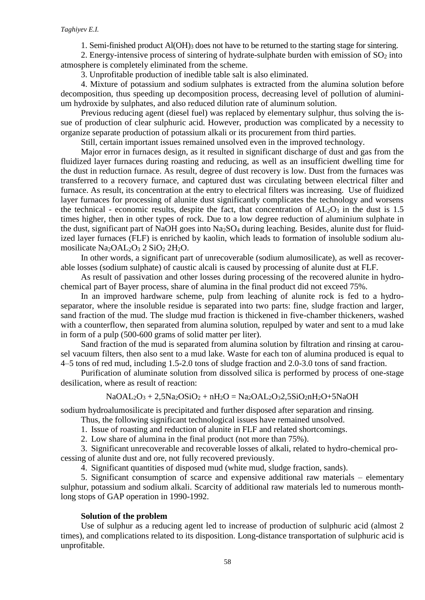1. Semi-finished product Al(OH)<sup>3</sup> does not have to be returned to the starting stage for sintering.

2. Energy-intensive process of sintering of hydrate-sulphate burden with emission of  $SO<sub>2</sub>$  into atmosphere is completely eliminated from the scheme.

3. Unprofitable production of inedible table salt is also eliminated.

4. Mixture of potassium and sodium sulphates is extracted from the alumina solution before decomposition, thus speeding up decomposition process, decreasing level of pollution of aluminium hydroxide by sulphates, and also reduced dilution rate of aluminum solution.

Previous reducing agent (diesel fuel) was replaced by elementary sulphur, thus solving the issue of production of clear sulphuric acid. However, production was complicated by a necessity to organize separate production of potassium alkali or its procurement from third parties.

Still, certain important issues remained unsolved even in the improved technology.

Major error in furnaces design, as it resulted in significant discharge of dust and gas from the fluidized layer furnaces during roasting and reducing, as well as an insufficient dwelling time for the dust in reduction furnace. As result, degree of dust recovery is low. Dust from the furnaces was transferred to a recovery furnace, and captured dust was circulating between electrical filter and furnace. As result, its concentration at the entry to electrical filters was increasing. Use of fluidized layer furnaces for processing of alunite dust significantly complicates the technology and worsens the technical - economic results, despite the fact, that concentration of  $AL_2O_3$  in the dust is 1.5 times higher, then in other types of rock. Due to a low degree reduction of aluminium sulphate in the dust, significant part of NaOH goes into  $Na<sub>2</sub>SO<sub>4</sub>$  during leaching. Besides, alunite dust for fluidized layer furnaces (FLF) is enriched by kaolin, which leads to formation of insoluble sodium alumosilicate Na<sub>2</sub>OAL<sub>2</sub>O<sub>3</sub> 2 SiO<sub>2</sub> 2H<sub>2</sub>O.

In other words, a significant part of unrecoverable (sodium alumosilicate), as well as recoverable losses (sodium sulphate) of caustic alcali is caused by processing of alunite dust at FLF.

As result of passivation and other losses during processing of the recovered alunite in hydrochemical part of Bayer process, share of alumina in the final product did not exceed 75%.

In an improved hardware scheme, pulp from leaching of alunite rock is fed to a hydroseparator, where the insoluble residue is separated into two parts: fine, sludge fraction and larger, sand fraction of the mud. The sludge mud fraction is thickened in five-chamber thickeners, washed with a counterflow, then separated from alumina solution, repulped by water and sent to a mud lake in form of a pulp (500-600 grams of solid matter per liter).

Sand fraction of the mud is separated from alumina solution by filtration and rinsing at carousel vacuum filters, then also sent to a mud lake. Waste for each ton of alumina produced is equal to 4–5 tons of red mud, including 1.5-2.0 tons of sludge fraction and 2.0-3.0 tons of sand fraction.

Purification of aluminate solution from dissolved silica is performed by process of one-stage desilication, where as result of reaction:

$$
NaOAL_2O_3 + 2{,}5Na_2OSiO_2 + nH_2O = Na_2OAL_2O_32{,}5SiO_2nH_2O + 5NaOH
$$

sodium hydroalumosilicate is precipitated and further disposed after separation and rinsing.

Thus, the following significant technological issues have remained unsolved.

1. Issue of roasting and reduction of alunite in FLF and related shortcomings.

2. Low share of alumina in the final product (not more than 75%).

3. Significant unrecoverable and recoverable losses of alkali, related to hydro-chemical processing of alunite dust and ore, not fully recovered previously.

4. Significant quantities of disposed mud (white mud, sludge fraction, sands).

5. Significant consumption of scarce and expensive additional raw materials – elementary sulphur, potassium and sodium alkali. Scarcity of additional raw materials led to numerous monthlong stops of GAP operation in 1990-1992.

#### **Solution of the problem**

Use of sulphur as a reducing agent led to increase of production of sulphuric acid (almost 2 times), and complications related to its disposition. Long-distance transportation of sulphuric acid is unprofitable.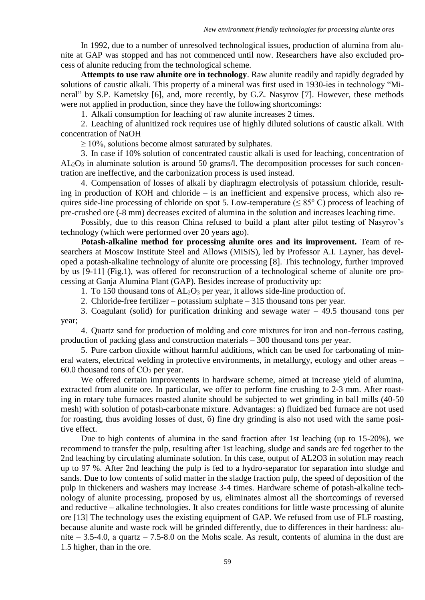In 1992, due to a number of unresolved technological issues, production of alumina from alunite at GAP was stopped and has not commenced until now. Researchers have also excluded process of alunite reducing from the technological scheme.

**Attempts to use raw alunite ore in technology**. Raw alunite readily and rapidly degraded by solutions of caustic alkali. This property of a mineral was first used in 1930-ies in technology "Mineral" by S.P. Kametsky [6], and, more recently, by G.Z. Nasyrov [7]. However, these methods were not applied in production, since they have the following shortcomings:

1. Alkali consumption for leaching of raw alunite increases 2 times.

2. Leaching of alunitized rock requires use of highly diluted solutions of caustic alkali. With concentration of NaOH

 $\geq 10\%$ , solutions become almost saturated by sulphates.

3. In case if 10% solution of concentrated caustic alkali is used for leaching, concentration of  $AL_2O_3$  in aluminate solution is around 50 grams/l. The decomposition processes for such concentration are ineffective, and the carbonization process is used instead.

4. Compensation of losses of alkali by diaphragm electrolysis of potassium chloride, resulting in production of КОН and chloride – is an inefficient and expensive process, which also requires side-line processing of chloride on spot 5. Low-temperature ( $\leq 85^{\circ}$  C) process of leaching of pre-crushed ore (-8 mm) decreases excited of alumina in the solution and increases leaching time.

Possibly, due to this reason China refused to build a plant after pilot testing of Nasyrov's technology (which were performed over 20 years ago).

**Potash-alkaline method for processing alunite ores and its improvement.** Team of researchers at Moscow Institute Steel and Allows (MISiS), led by Professor A.I. Layner, has developed a potash-alkaline technology of alunite ore processing [8]. This technology, further improved by us [9-11] (Fig.1), was offered for reconstruction of a technological scheme of alunite ore processing at Ganja Alumina Plant (GAP). Besides increase of productivity up:

1. To 150 thousand tons of  $AL_2O_3$  per year, it allows side-line production of.

2. Chloride-free fertilizer – potassium sulphate – 315 thousand tons per year.

3. Coagulant (solid) for purification drinking and sewage water – 49.5 thousand tons per year;

4. Quartz sand for production of molding and core mixtures for iron and non-ferrous casting, production of packing glass and construction materials – 300 thousand tons per year.

5. Pure carbon dioxide without harmful additions, which can be used for carbonating of mineral waters, electrical welding in protective environments, in metallurgy, ecology and other areas – 60.0 thousand tons of  $CO<sub>2</sub>$  per year.

We offered certain improvements in hardware scheme, aimed at increase yield of alumina, extracted from alunite ore. In particular, we offer to perform fine crushing to 2-3 mm. After roasting in rotary tube furnaces roasted alunite should be subjected to wet grinding in ball mills (40-50 mesh) with solution of potash-сarbonate mixture. Advantages: а) fluidized bed furnace are not used for roasting, thus avoiding losses of dust, б) fine dry grinding is also not used with the same positive effect.

Due to high contents of alumina in the sand fraction after 1st leaching (up to 15-20%), we recommend to transfer the pulp, resulting after 1st leaching, sludge and sands are fed together to the 2nd leaching by circulating aluminate solution. In this case, output of AL2O3 in solution may reach up to 97 %. After 2nd leaching the pulp is fed to a hydro-separator for separation into sludge and sands. Due to low contents of solid matter in the sladge fraction pulp, the speed of deposition of the pulp in thickeners and washers may increase 3-4 times. Hardware scheme of potash-alkaline technology of alunite processing, proposed by us, eliminates almost all the shortcomings of reversed and reductive – alkaline technologies. It also creates conditions for little waste processing of alunite ore [13] The technology uses the existing equipment of GAP. We refused from use of FLF roasting, because alunite and waste rock will be grinded differently, due to differences in their hardness: alunite – 3.5-4.0, a quartz – 7.5-8.0 on the Mohs scale. As result, contents of alumina in the dust are 1.5 higher, than in the ore.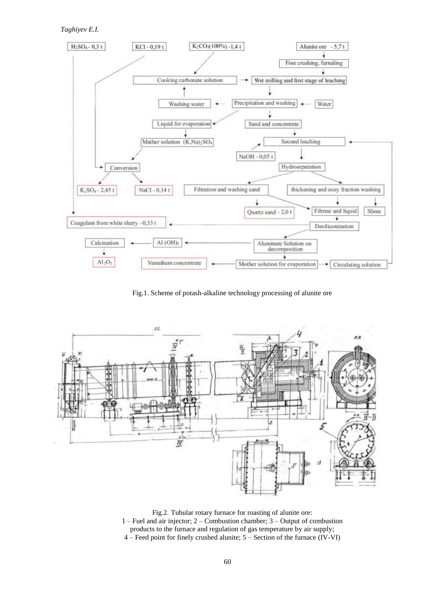*Taghiyev E.I.*



Fig.1. Scheme of potash-alkaline technology processing of alunite ore



Fig.2. Tubular rotary furnace for roasting of alunite ore: 1 – Fuel and air injector; 2 – Combustion chamber; 3 – Output of combustion products to the furnace and regulation of gas temperature by air supply; 4 – Feed point for finely crushed alunite; 5 – Section of the furnace (IV-VI)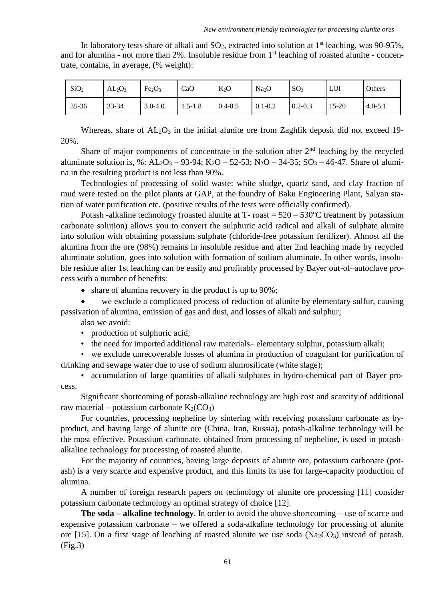In laboratory tests share of alkali and  $SO_2$ , extracted into solution at 1<sup>st</sup> leaching, was 90-95%, and for alumina - not more than 2%. Insoluble residue from 1<sup>st</sup> leaching of roasted alunite - concentrate, contains, in average, (% weight):

| SiO <sub>2</sub> | AL <sub>2</sub> O <sub>3</sub> | Fe <sub>2</sub> O <sub>3</sub> | CaO         | $K_2O$      | Na <sub>2</sub> O | SO <sub>3</sub> | LOI       | Others      |
|------------------|--------------------------------|--------------------------------|-------------|-------------|-------------------|-----------------|-----------|-------------|
| 35-36            | 33-34                          | $3.0 - 4.0$                    | $1.5 - 1.8$ | $0.4 - 0.5$ | $0.1 - 0.2$       | $0.2 - 0.3$     | $15 - 20$ | $4.0 - 5.1$ |

Whereas, share of  $AL_2O_3$  in the initial alunite ore from Zaghlik deposit did not exceed 19-20%.

Share of major components of concentrate in the solution after  $2<sup>nd</sup>$  leaching by the recycled aluminate solution is, %:  $AL_2O_3 - 93-94$ ;  $K_2O - 52-53$ ;  $N_2O - 34-35$ ;  $SO_3 - 46-47$ . Share of alumina in the resulting product is not less than 90%.

Technologies of processing of solid waste: white sludge, quartz sand, and clay fraction of mud were tested on the pilot plants at GAP, at the foundry of Baku Engineering Plant, Salyan station of water purification etc. (positive results of the tests were officially confirmed).

Potash -alkaline technology (roasted alunite at  $T$ - roast =  $520 - 530^{\circ}$ C treatment by potassium carbonate solution) allows you to convert the sulphuric acid radical and alkali of sulphate alunite into solution with obtaining potassium sulphate (chloride-free potassium fertilizer). Almost all the alumina from the ore (98%) remains in insoluble residue and after 2nd leaching made by recycled aluminate solution, goes into solution with formation of sodium aluminate. In other words, insoluble residue after 1st leaching can be easily and profitably processed by Bayer out-of–autoclave process with a number of benefits:

• share of alumina recovery in the product is up to 90%;

 we exclude a complicated process of reduction of alunite by elementary sulfur, causing passivation of alumina, emission of gas and dust, and losses of alkali and sulphur;

also we avoid:

• production of sulphuric acid;

• the need for imported additional raw materials– elementary sulphur, potassium alkali;

• we exclude unrecoverable losses of alumina in production of coagulant for purification of drinking and sewage water due to use of sodium alumosilicate (white slage);

• accumulation of large quantities of alkali sulphates in hydro-chemical part of Bayer process.

Significant shortcoming of potash-alkaline technology are high cost and scarcity of additional raw material – potassium carbonate  $K_2(CO_3)$ 

For countries, processing nepheline by sintering with receiving potassium carbonate as byproduct, and having large of alunite ore (China, Iran, Russia), potash-alkaline technology will be the most effective. Potassium carbonate, obtained from processing of nepheline, is used in potashalkaline technology for processing of roasted alunite.

For the majority of countries, having large deposits of alunite ore, potassium carbonate (potash) is a very scarce and expensive product, and this limits its use for large-capacity production of alumina.

A number of foreign research papers on technology of alunite ore processing [11] consider potassium carbonate technology an optimal strategy of choice [12].

**The soda – alkaline technology**. In order to avoid the above shortcoming – use of scarce and expensive potassium carbonate – we offered a soda-alkaline technology for processing of alunite ore [15]. On a first stage of leaching of roasted alunite we use soda ( $Na<sub>2</sub>CO<sub>3</sub>$ ) instead of potash. (Fig.3)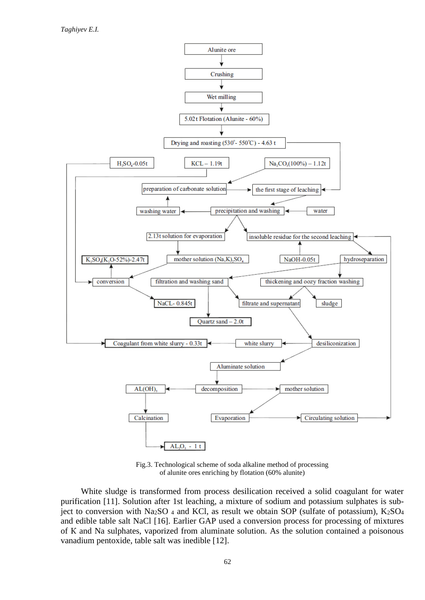

Fig.3. Technological scheme of soda alkaline method of processing of alunite ores enriching by flotation (60% alunite)

White sludge is transformed from process desilication received a solid coagulant for water purification [11]. Solution after 1st leaching, a mixture of sodium and potassium sulphates is subject to conversion with Na<sub>2</sub>SO <sub>4</sub> and KCl, as result we obtain SOP (sulfate of potassium), K<sub>2</sub>SO<sub>4</sub> and edible table salt NaCl [16]. Earlier GAP used a conversion process for processing of mixtures of К and Na sulphates, vaporized from aluminate solution. As the solution contained a poisonous vanadium pentoxide, table salt was inedible [12].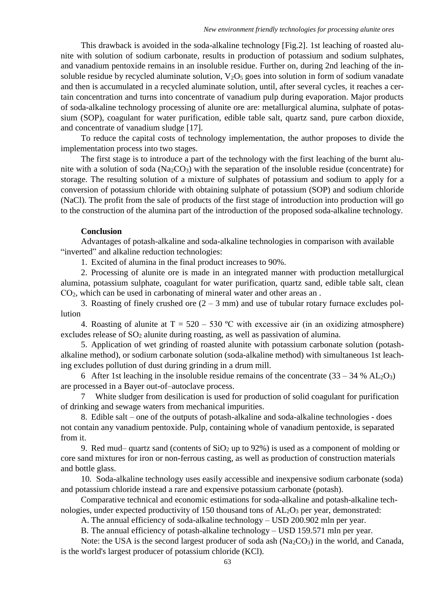This drawback is avoided in the soda-alkaline technology [Fig.2]. 1st leaching of roasted alunite with solution of sodium carbonate, results in production of potassium and sodium sulphates, and vanadium pentoxide remains in an insoluble residue. Further on, during 2nd leaching of the insoluble residue by recycled aluminate solution,  $V_2O_5$  goes into solution in form of sodium vanadate and then is accumulated in a recycled aluminate solution, until, after several cycles, it reaches a certain concentration and turns into concentrate of vanadium pulp during evaporation. Major products of soda-alkaline technology processing of alunite ore are: metallurgical alumina, sulphate of potassium (SOP), coagulant for water purification, edible table salt, quartz sand, pure carbon dioxide, and concentrate of vanadium sludge [17].

To reduce the capital costs of technology implementation, the author proposes to divide the implementation process into two stages.

The first stage is to introduce a part of the technology with the first leaching of the burnt alunite with a solution of soda (Na<sub>2</sub>CO<sub>3</sub>) with the separation of the insoluble residue (concentrate) for storage. The resulting solution of a mixture of sulphates of potassium and sodium to apply for a conversion of potassium chloride with obtaining sulphate of potassium (SOP) and sodium chloride (NaCl). The profit from the sale of products of the first stage of introduction into production will go to the construction of the alumina part of the introduction of the proposed soda-alkaline technology.

## **Conclusion**

Advantages of potash-alkaline and soda-alkaline technologies in comparison with available "inverted" and alkaline reduction technologies:

1. Excited of alumina in the final product increases to 90%.

2. Processing of alunite ore is made in an integrated manner with production metallurgical alumina, potassium sulphate, coagulant for water purification, quartz sand, edible table salt, clean СО2, which can be used in carbonating of mineral water and other areas an .

3. Roasting of finely crushed ore  $(2 - 3)$  mm and use of tubular rotary furnace excludes pollution

4. Roasting of alunite at  $T = 520 - 530$  °C with excessive air (in an oxidizing atmosphere) excludes release of  $SO_2$  alunite during roasting, as well as passivation of alumina.

5. Application of wet grinding of roasted alunite with potassium carbonate solution (potashalkaline method), or sodium carbonate solution (soda-alkaline method) with simultaneous 1st leaching excludes pollution of dust during grinding in a drum mill.

6 After 1st leaching in the insoluble residue remains of the concentrate  $(33 - 34 % AL<sub>2</sub>O<sub>3</sub>)$ are processed in a Bayer out-of–autoclave process.

7 White sludger from desilication is used for production of solid coagulant for purification of drinking and sewage waters from mechanical impurities.

8. Edible salt – one of the outputs of potash-alkaline and soda-alkaline technologies - does not contain any vanadium pentoxide. Pulp, containing whole of vanadium pentoxide, is separated from it.

9. Red mud– quartz sand (contents of  $SiO<sub>2</sub>$  up to 92%) is used as a component of molding or core sand mixtures for iron or non-ferrous casting, as well as production of construction materials and bottle glass.

10. Soda-alkaline technology uses easily accessible and inexpensive sodium carbonate (soda) and potassium chloride instead a rare and expensive potassium carbonate (potash).

Comparative technical and economic estimations for soda-alkaline and potash-alkaline technologies, under expected productivity of 150 thousand tons of  $AL_2O_3$  per year, demonstrated:

A. The annual efficiency of soda-alkaline technology – USD 200.902 mln per year.

B. The annual efficiency of potash-alkaline technology – USD 159.571 mln per year.

Note: the USA is the second largest producer of soda ash  $(Na<sub>2</sub>CO<sub>3</sub>)$  in the world, and Canada, is the world's largest producer of potassium chloride (KCl).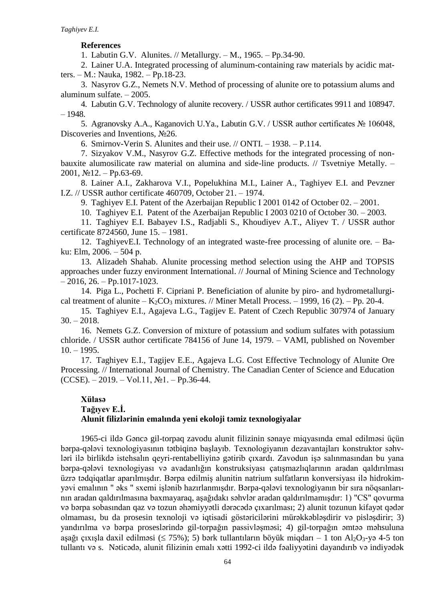### **References**

1. Labutin G.V. Alunites. // Metallurgy. – M., 1965. – Pp.34-90.

2. Lainer U.A. Integrated processing of aluminum-containing raw materials by acidic matters. – M.: Nauka, 1982. – Pp.18-23.

3. Nasyrov G.Z., Nemets N.V. Method of processing of alunite ore to potassium alums and aluminum sulfate. – 2005.

4. Labutin G.V. Technology of alunite recovery. / USSR author certificates 9911 and 108947.  $-1948.$ 

5. Agranovsky А.А., Kaganovich U.Ya., Labutin G.V. / USSR author certificates № 106048, Discoveries and Inventions, No. 26.

6. Smirnov-Verin S. Alunites and their use. // ONTI. – 1938. – P.114.

7. Sizyakov V.M., Nasyrov G.Z. Effective methods for the integrated processing of nonbauxite alumosilicate raw material on alumina and side-line products. // Tsvetniye Metally. -2001,  $N$ <u>o</u>12. – Pp.63-69.

8. Lainer A.I., Zakharova V.I., Popelukhina M.I., Lainer A., Taghiyev E.I. and Pevzner I.Z. // USSR author certificate 460709, October 21. – 1974.

9. Taghiyev E.I. Patent of the Azerbaijan Republic I 2001 0142 of October 02. – 2001.

10. Taghiyev E.I. Patent of the Azerbaijan Republic I 2003 0210 of October 30. – 2003.

11. Taghiyev E.I. Babayev I.S., Radjabli S., Khoudiyev A.T., Aliyev T. / USSR author certificate 8724560, June 15. – 1981.

12. TaghiyevE.I. Technology of an integrated waste-free processing of alunite ore. – Baku: Elm, 2006. – 504 р.

13. Alizadeh Shahab. Alunite processing method selection using the AHP and TOPSIS approaches under fuzzy environment International. // Journal of Mining Science and Technology  $-2016$ , 26.  $-$ Pp.1017-1023.

14. Piga L., Pochetti F. Cipriani P. Beneficiation of alunite by piro- and hydrometallurgical treatment of alunite –  $K_2CO_3$  mixtures. // Miner Metall Process. – 1999, 16 (2). – Pp. 20-4.

15. Taghiyev E.I., Agajeva L.G., Tagijev E. Patent of Czech Republic 307974 of January  $30. - 2018.$ 

16. Nemets G.Z. Conversion of mixture of potassium and sodium sulfates with potassium chloride. / USSR author certificate 784156 of June 14, 1979. – VAMI, published on November  $10. - 1995.$ 

17. Taghiyev E.I., Tagijev E.E., Agajeva L.G. Cost Effective Technology of Alunite Ore Processing. // International Journal of Chemistry. The Canadian Center of Science and Education  $(CCSE)$ . – 2019. – Vol.11,  $N_2$ 1. – Pp.36-44.

# **Xülasə Tağıyev E.İ. Alunit filizlərinin emalında yeni ekoloji təmiz texnologiyalar**

1965-ci ildə Gəncə gil-torpaq zavodu alunit filizinin sənaye miqyasında emal edilməsi üçün bərpa-qələvi texnologiyasının tətbiqinə başlayıb. Texnologiyanın dezavantajları konstruktor səhvləri ilə birlikdə istehsalın qeyri-rentabelliyinə gətirib çıxardı. Zavodun işə salınmasından bu yana bərpa-qələvi texnologiyası və avadanlığın konstruksiyası çatışmazlıqlarının aradan qaldırılması üzrə tədqiqatlar aparılmışdır. Bərpa edilmiş alunitin natrium sulfatların konversiyası ilə hidrokimyəvi emalının " əks " sxemi işlənib hazırlanmışdır. Bərpa-qələvi texnologiyanın bir sıra nöqsanlarının aradan qaldırılmasına baxmayaraq, aşağıdakı səhvlər aradan qaldırılmamışdır: 1) "CS" qovurma və bərpa sobasından qaz və tozun əhəmiyyətli dərəcədə çıxarılması; 2) alunit tozunun kifayət qədər olmaması, bu da prosesin texnoloji və iqtisadi göstəricilərini mürəkkəbləşdirir və pisləşdirir; 3) yandırılma və bərpa proseslərində gil-torpağın passivləşməsi; 4) gil-torpağın əmtəə məhsuluna aşağı çıxışla daxil edilməsi ( $\leq$  75%); 5) bərk tullantıların böyük miqdarı – 1 ton Al<sub>2</sub>O<sub>3</sub>-yə 4-5 ton tullantı və s. Nəticədə, alunit filizinin emalı xətti 1992-ci ildə fəaliyyətini dayandırıb və indiyədək